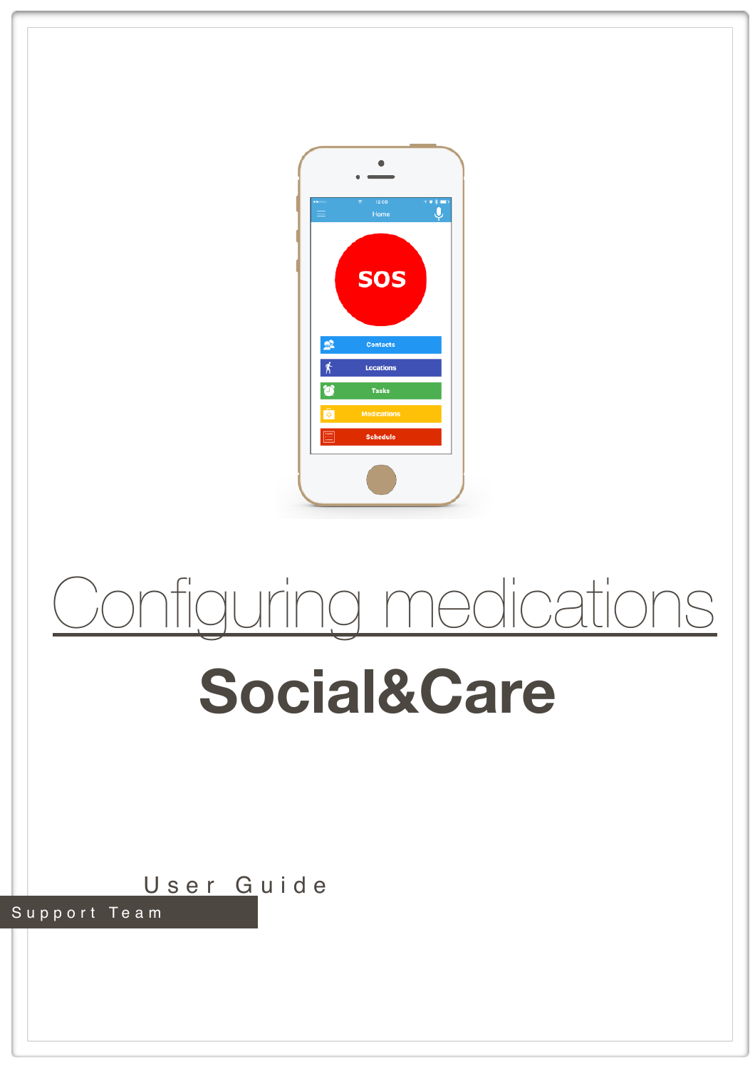

## Configuring medications

## **Social&Care**

User Guide Support Team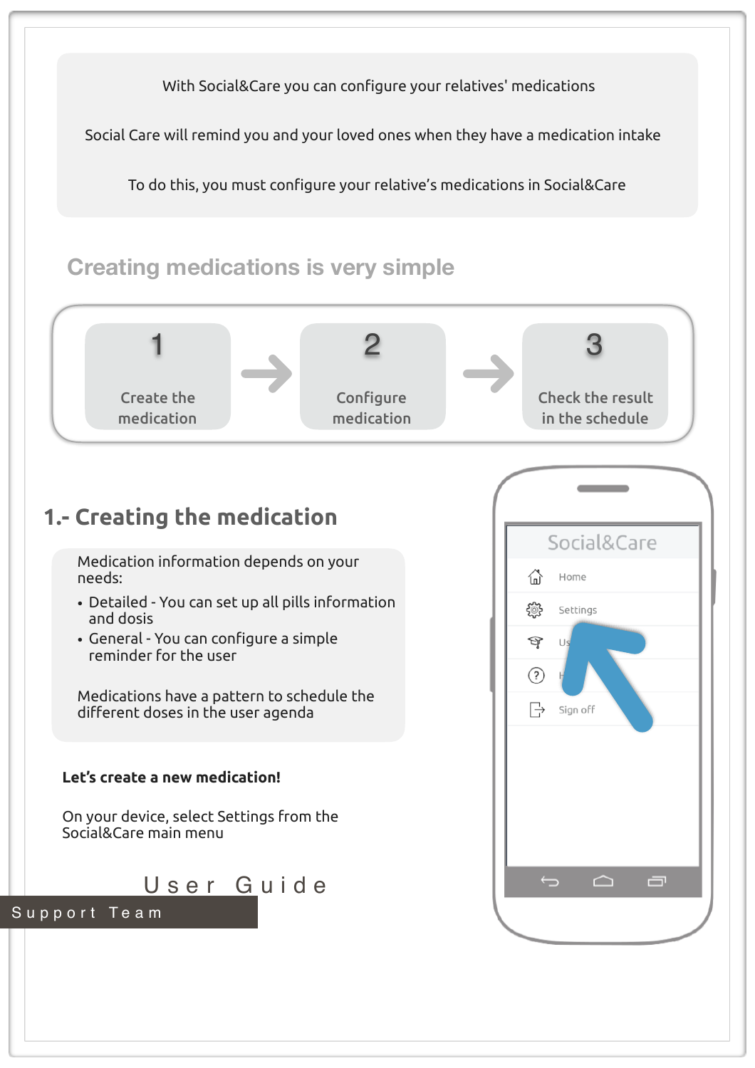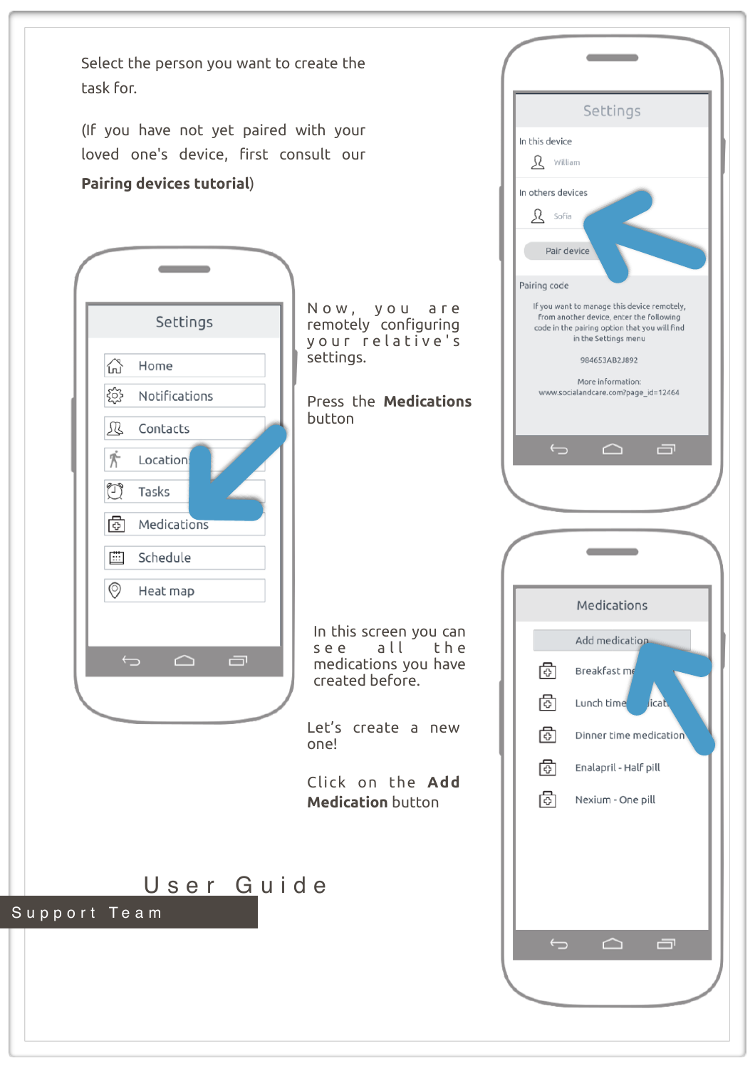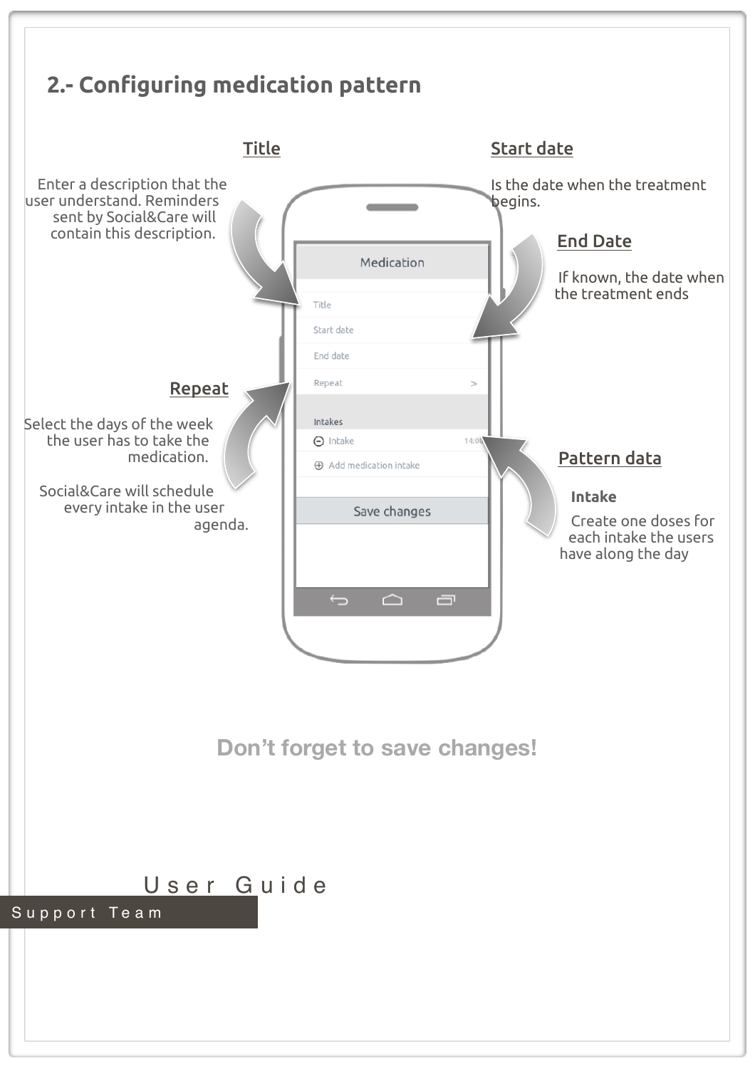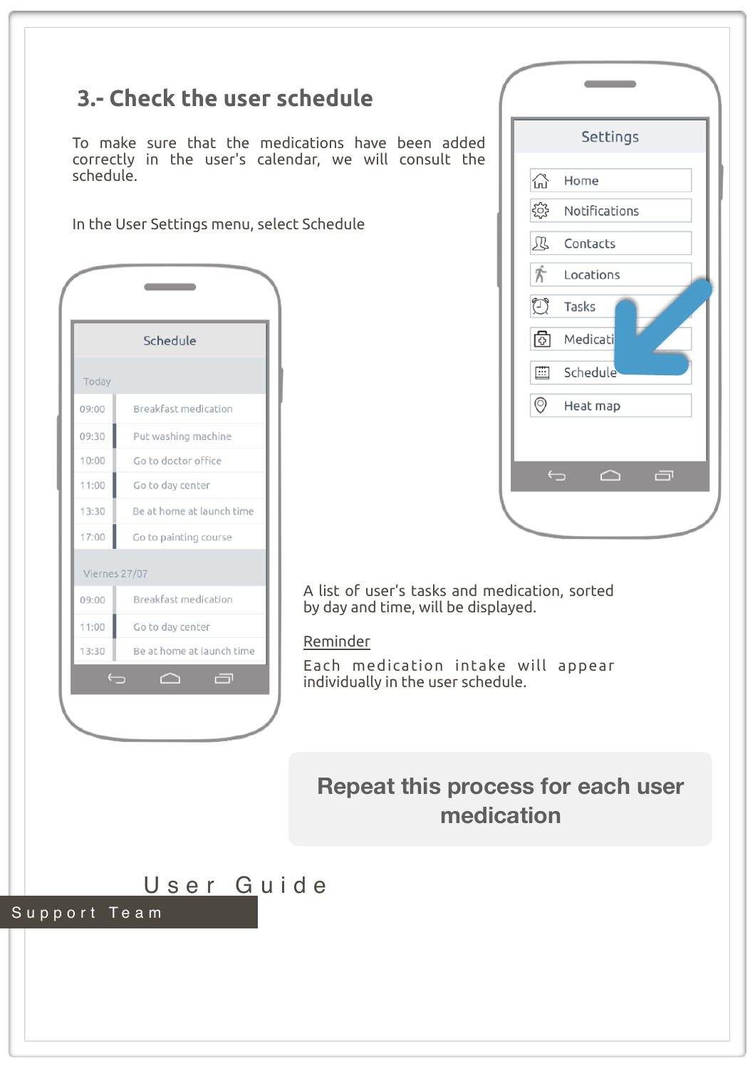|                                            |                                             | Settings<br>To make sure that the medications have been added<br>correctly in the user's calendar, we will consult the |
|--------------------------------------------|---------------------------------------------|------------------------------------------------------------------------------------------------------------------------|
| schedule.                                  |                                             | 산<br>Home                                                                                                              |
|                                            |                                             | ૹૢ૾ૺ<br>Notifications                                                                                                  |
| In the User Settings menu, select Schedule |                                             | Ŀ<br>Contacts                                                                                                          |
|                                            |                                             | 齐<br>Locations                                                                                                         |
|                                            |                                             | $\bigcirc$<br>Tasks                                                                                                    |
|                                            |                                             |                                                                                                                        |
|                                            | Schedule                                    | ⊡<br>Medicati                                                                                                          |
| Today                                      |                                             | Schedule<br>曲                                                                                                          |
| 09:00                                      | Breakfast medication                        | $\odot$<br>Heat map                                                                                                    |
| 09:30                                      | Put washing machine                         |                                                                                                                        |
| 10:00                                      | Go to doctor office                         |                                                                                                                        |
| 11:00                                      | Go to day center                            | $\overline{\mathbf{C}}$<br>≏                                                                                           |
| 13:30                                      | Be at home at launch time                   |                                                                                                                        |
| 17:00                                      | Go to painting course                       |                                                                                                                        |
| Viernes 27/07                              |                                             |                                                                                                                        |
| 09:00                                      | Breakfast medication                        | A list of user's tasks and medication, sorted<br>by day and time, will be displayed.                                   |
| 11:00                                      | Go to day center                            |                                                                                                                        |
| 13:30                                      | Be at home at launch time                   | Reminder                                                                                                               |
|                                            | $\overline{\mathbb{C}}$<br>$\triangle$<br>o | Each medication intake will appear<br>individually in the user schedule.                                               |
|                                            |                                             |                                                                                                                        |
|                                            |                                             |                                                                                                                        |